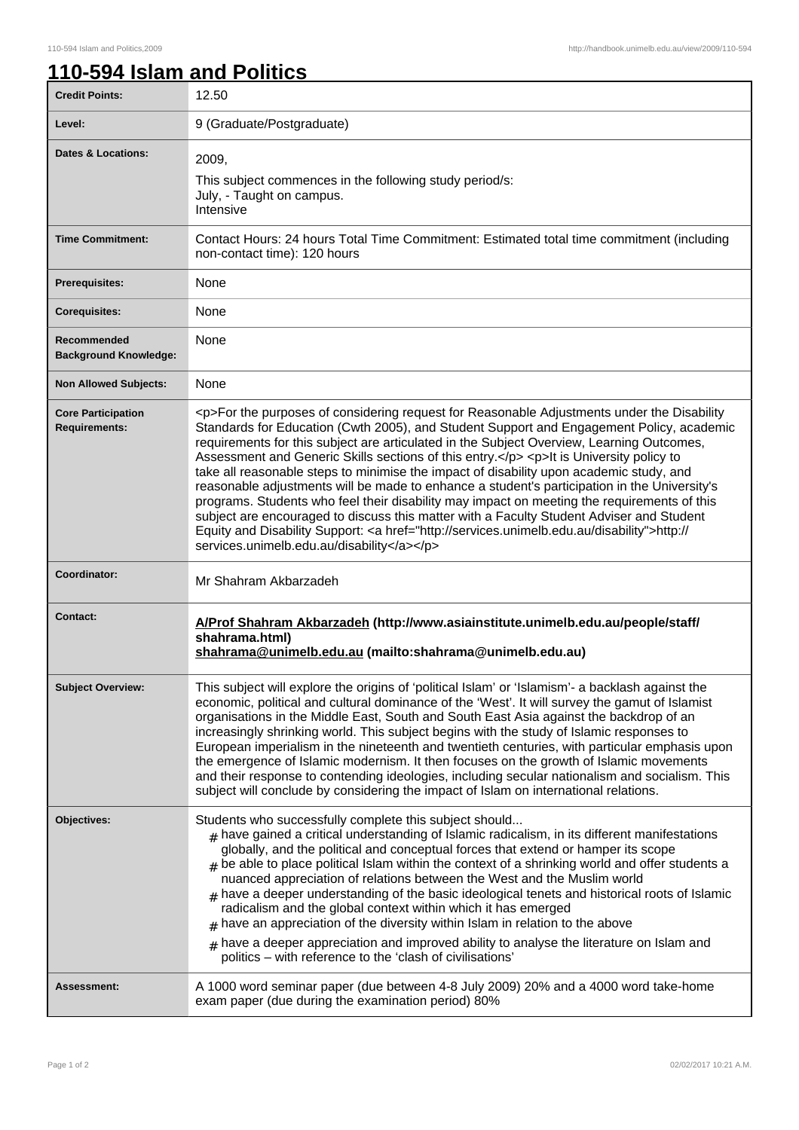## **110-594 Islam and Politics**

| <b>Credit Points:</b>                             | 12.50                                                                                                                                                                                                                                                                                                                                                                                                                                                                                                                                                                                                                                                                                                                                                                                                                                                                                                                        |
|---------------------------------------------------|------------------------------------------------------------------------------------------------------------------------------------------------------------------------------------------------------------------------------------------------------------------------------------------------------------------------------------------------------------------------------------------------------------------------------------------------------------------------------------------------------------------------------------------------------------------------------------------------------------------------------------------------------------------------------------------------------------------------------------------------------------------------------------------------------------------------------------------------------------------------------------------------------------------------------|
| Level:                                            | 9 (Graduate/Postgraduate)                                                                                                                                                                                                                                                                                                                                                                                                                                                                                                                                                                                                                                                                                                                                                                                                                                                                                                    |
| Dates & Locations:                                | 2009.<br>This subject commences in the following study period/s:<br>July, - Taught on campus.<br>Intensive                                                                                                                                                                                                                                                                                                                                                                                                                                                                                                                                                                                                                                                                                                                                                                                                                   |
| <b>Time Commitment:</b>                           | Contact Hours: 24 hours Total Time Commitment: Estimated total time commitment (including<br>non-contact time): 120 hours                                                                                                                                                                                                                                                                                                                                                                                                                                                                                                                                                                                                                                                                                                                                                                                                    |
| <b>Prerequisites:</b>                             | None                                                                                                                                                                                                                                                                                                                                                                                                                                                                                                                                                                                                                                                                                                                                                                                                                                                                                                                         |
| <b>Corequisites:</b>                              | None                                                                                                                                                                                                                                                                                                                                                                                                                                                                                                                                                                                                                                                                                                                                                                                                                                                                                                                         |
| Recommended<br><b>Background Knowledge:</b>       | None                                                                                                                                                                                                                                                                                                                                                                                                                                                                                                                                                                                                                                                                                                                                                                                                                                                                                                                         |
| <b>Non Allowed Subjects:</b>                      | None                                                                                                                                                                                                                                                                                                                                                                                                                                                                                                                                                                                                                                                                                                                                                                                                                                                                                                                         |
| <b>Core Participation</b><br><b>Requirements:</b> | <p>For the purposes of considering request for Reasonable Adjustments under the Disability<br/>Standards for Education (Cwth 2005), and Student Support and Engagement Policy, academic<br/>requirements for this subject are articulated in the Subject Overview, Learning Outcomes,<br/>Assessment and Generic Skills sections of this entry.</p> <p>lt is University policy to<br/>take all reasonable steps to minimise the impact of disability upon academic study, and<br/>reasonable adjustments will be made to enhance a student's participation in the University's<br/>programs. Students who feel their disability may impact on meeting the requirements of this<br/>subject are encouraged to discuss this matter with a Faculty Student Adviser and Student<br/>Equity and Disability Support: &lt; a href="http://services.unimelb.edu.au/disability"&gt;http://<br/>services.unimelb.edu.au/disability</p> |
| Coordinator:                                      | Mr Shahram Akbarzadeh                                                                                                                                                                                                                                                                                                                                                                                                                                                                                                                                                                                                                                                                                                                                                                                                                                                                                                        |
| <b>Contact:</b>                                   | A/Prof Shahram Akbarzadeh (http://www.asiainstitute.unimelb.edu.au/people/staff/<br>shahrama.html)<br>shahrama@unimelb.edu.au (mailto:shahrama@unimelb.edu.au)                                                                                                                                                                                                                                                                                                                                                                                                                                                                                                                                                                                                                                                                                                                                                               |
| <b>Subject Overview:</b>                          | This subject will explore the origins of 'political Islam' or 'Islamism'- a backlash against the<br>economic, political and cultural dominance of the 'West'. It will survey the gamut of Islamist<br>organisations in the Middle East, South and South East Asia against the backdrop of an<br>increasingly shrinking world. This subject begins with the study of Islamic responses to<br>European imperialism in the nineteenth and twentieth centuries, with particular emphasis upon<br>the emergence of Islamic modernism. It then focuses on the growth of Islamic movements<br>and their response to contending ideologies, including secular nationalism and socialism. This<br>subject will conclude by considering the impact of Islam on international relations.                                                                                                                                                |
| Objectives:                                       | Students who successfully complete this subject should<br>$_{\#}$ have gained a critical understanding of Islamic radicalism, in its different manifestations<br>globally, and the political and conceptual forces that extend or hamper its scope<br>$_{\text{\#}}$ be able to place political Islam within the context of a shrinking world and offer students a<br>nuanced appreciation of relations between the West and the Muslim world<br>$#$ have a deeper understanding of the basic ideological tenets and historical roots of Islamic<br>radicalism and the global context within which it has emerged<br>$#$ have an appreciation of the diversity within Islam in relation to the above<br>have a deeper appreciation and improved ability to analyse the literature on Islam and<br>#<br>politics - with reference to the 'clash of civilisations'                                                             |
| Assessment:                                       | A 1000 word seminar paper (due between 4-8 July 2009) 20% and a 4000 word take-home<br>exam paper (due during the examination period) 80%                                                                                                                                                                                                                                                                                                                                                                                                                                                                                                                                                                                                                                                                                                                                                                                    |